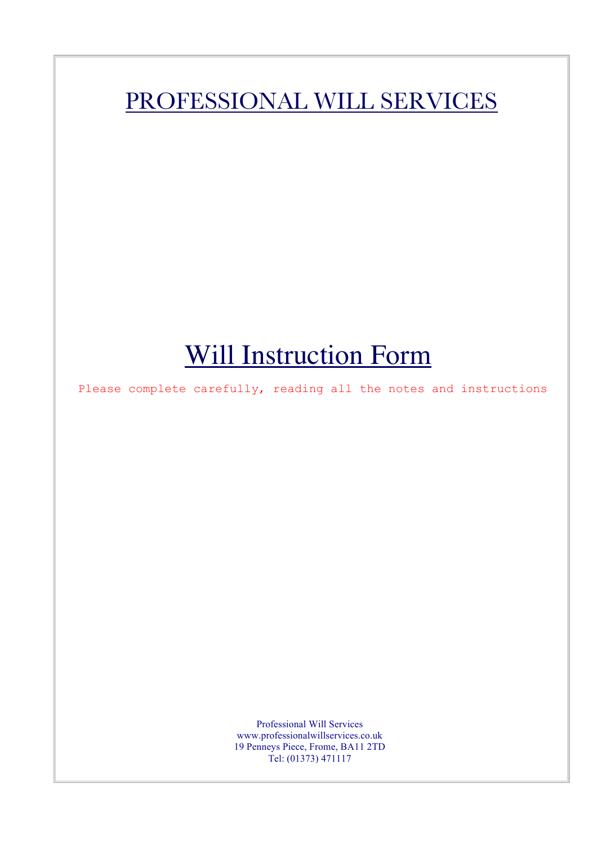# PROFESSIONAL WILL SERVICES

# Will Instruction Form

 $\mathbb{R}$ 

Please complete carefully, reading all the notes and instructions

Professional Will Services www.professionalwillservices.co.uk 19 Penneys Piece, Frome, BA11 2TD Tel: (01373) 471117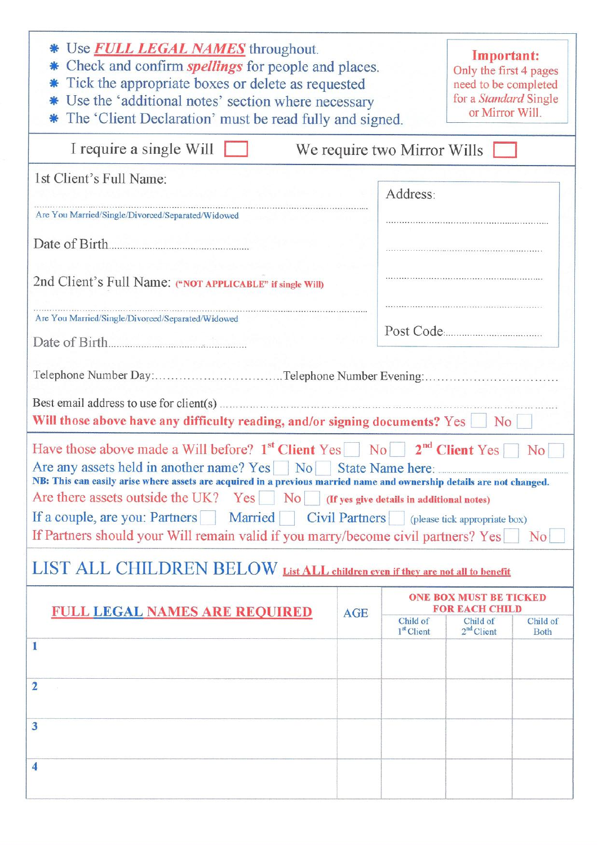| * Use <b>FULL LEGAL NAMES</b> throughout.<br>Check and confirm <i>spellings</i> for people and places.<br>Tick the appropriate boxes or delete as requested<br>Use the 'additional notes' section where necessary<br>The 'Client Declaration' must be read fully and signed.                                                                                                                                                                                                                                                                                   |                                                        |                          |                                                                                                                                                                                                                                                                           |
|----------------------------------------------------------------------------------------------------------------------------------------------------------------------------------------------------------------------------------------------------------------------------------------------------------------------------------------------------------------------------------------------------------------------------------------------------------------------------------------------------------------------------------------------------------------|--------------------------------------------------------|--------------------------|---------------------------------------------------------------------------------------------------------------------------------------------------------------------------------------------------------------------------------------------------------------------------|
|                                                                                                                                                                                                                                                                                                                                                                                                                                                                                                                                                                |                                                        |                          |                                                                                                                                                                                                                                                                           |
|                                                                                                                                                                                                                                                                                                                                                                                                                                                                                                                                                                | Address:                                               |                          |                                                                                                                                                                                                                                                                           |
|                                                                                                                                                                                                                                                                                                                                                                                                                                                                                                                                                                |                                                        |                          |                                                                                                                                                                                                                                                                           |
|                                                                                                                                                                                                                                                                                                                                                                                                                                                                                                                                                                |                                                        |                          |                                                                                                                                                                                                                                                                           |
| Are You Married/Single/Divorced/Separated/Widowed<br>Date of Birth                                                                                                                                                                                                                                                                                                                                                                                                                                                                                             |                                                        |                          |                                                                                                                                                                                                                                                                           |
|                                                                                                                                                                                                                                                                                                                                                                                                                                                                                                                                                                |                                                        |                          |                                                                                                                                                                                                                                                                           |
|                                                                                                                                                                                                                                                                                                                                                                                                                                                                                                                                                                |                                                        | No                       |                                                                                                                                                                                                                                                                           |
| Have those above made a Will before? $1^{st}$ Client Yes No $2^{nd}$ Client Yes<br>No 1<br>Are any assets held in another name? Yes No State Name here:<br>NB: This can easily arise where assets are acquired in a previous married name and ownership details are not changed.<br>Are there assets outside the UK? Yes $\Box$ No If yes give details in additional notes)<br>If a couple, are you: Partners Married Civil Partners (please tick appropriate box)<br>If Partners should your Will remain valid if you marry/become civil partners? Yes<br>No. |                                                        |                          |                                                                                                                                                                                                                                                                           |
| LIST ALL CHILDREN BELOW List ALL children even if they are not all to benefit                                                                                                                                                                                                                                                                                                                                                                                                                                                                                  |                                                        |                          |                                                                                                                                                                                                                                                                           |
|                                                                                                                                                                                                                                                                                                                                                                                                                                                                                                                                                                | <b>ONE BOX MUST BE TICKED</b><br><b>FOR EACH CHILD</b> |                          |                                                                                                                                                                                                                                                                           |
|                                                                                                                                                                                                                                                                                                                                                                                                                                                                                                                                                                | Child of<br>1 <sup>st</sup> Client                     | Child of<br>$2nd$ Client | Child of<br><b>Both</b>                                                                                                                                                                                                                                                   |
|                                                                                                                                                                                                                                                                                                                                                                                                                                                                                                                                                                |                                                        |                          |                                                                                                                                                                                                                                                                           |
|                                                                                                                                                                                                                                                                                                                                                                                                                                                                                                                                                                |                                                        |                          |                                                                                                                                                                                                                                                                           |
|                                                                                                                                                                                                                                                                                                                                                                                                                                                                                                                                                                |                                                        |                          |                                                                                                                                                                                                                                                                           |
| $\boldsymbol{4}$                                                                                                                                                                                                                                                                                                                                                                                                                                                                                                                                               |                                                        |                          |                                                                                                                                                                                                                                                                           |
|                                                                                                                                                                                                                                                                                                                                                                                                                                                                                                                                                                | <b>AGE</b>                                             |                          | Important:<br>Only the first 4 pages<br>need to be completed<br>for a Standard Single<br>or Mirror Will.<br>We require two Mirror Wills<br>Telephone Number Day: Telephone Number Evening:<br>Will those above have any difficulty reading, and/or signing documents? Yes |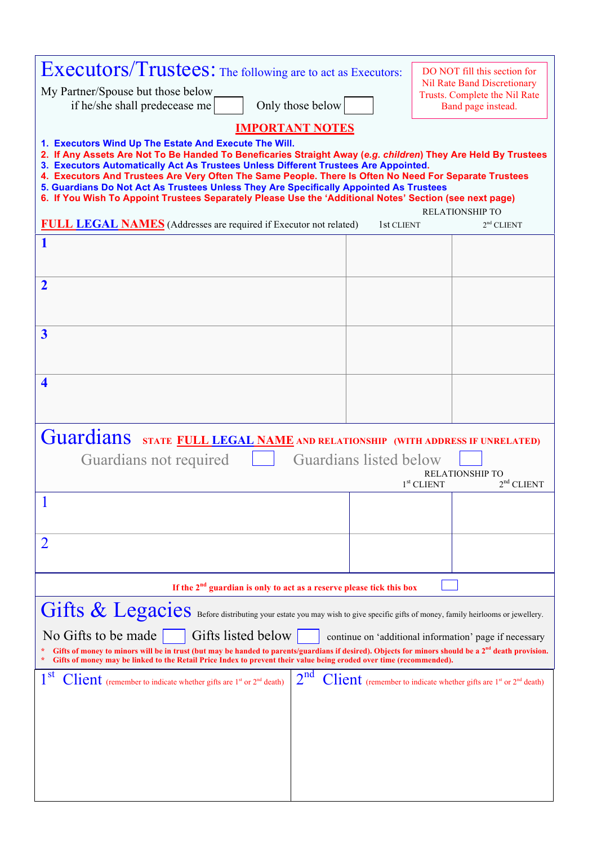| <b>Executors/Trustees:</b> The following are to act as Executors:<br>My Partner/Spouse but those below                                                                                                                                                                                                                                                                                                                                                                                                                                                                       |            |  | DO NOT fill this section for<br><b>Nil Rate Band Discretionary</b><br>Trusts. Complete the Nil Rate |
|------------------------------------------------------------------------------------------------------------------------------------------------------------------------------------------------------------------------------------------------------------------------------------------------------------------------------------------------------------------------------------------------------------------------------------------------------------------------------------------------------------------------------------------------------------------------------|------------|--|-----------------------------------------------------------------------------------------------------|
| Only those below<br>if he/she shall predecease me                                                                                                                                                                                                                                                                                                                                                                                                                                                                                                                            |            |  | Band page instead.                                                                                  |
| <b>IMPORTANT NOTES</b>                                                                                                                                                                                                                                                                                                                                                                                                                                                                                                                                                       |            |  |                                                                                                     |
| 1. Executors Wind Up The Estate And Execute The Will.<br>2. If Any Assets Are Not To Be Handed To Beneficaries Straight Away (e.g. children) They Are Held By Trustees<br>3. Executors Automatically Act As Trustees Unless Different Trustees Are Appointed.<br>4. Executors And Trustees Are Very Often The Same People. There Is Often No Need For Separate Trustees<br>5. Guardians Do Not Act As Trustees Unless They Are Specifically Appointed As Trustees<br>6. If You Wish To Appoint Trustees Separately Please Use the 'Additional Notes' Section (see next page) |            |  |                                                                                                     |
| <b>FULL LEGAL NAMES</b> (Addresses are required if Executor not related)                                                                                                                                                                                                                                                                                                                                                                                                                                                                                                     | 1st CLIENT |  | <b>RELATIONSHIP TO</b><br>2 <sup>nd</sup> CLIENT                                                    |
| 1                                                                                                                                                                                                                                                                                                                                                                                                                                                                                                                                                                            |            |  |                                                                                                     |
| $\overline{\mathbf{2}}$                                                                                                                                                                                                                                                                                                                                                                                                                                                                                                                                                      |            |  |                                                                                                     |
| $\overline{\mathbf{3}}$                                                                                                                                                                                                                                                                                                                                                                                                                                                                                                                                                      |            |  |                                                                                                     |
| 4                                                                                                                                                                                                                                                                                                                                                                                                                                                                                                                                                                            |            |  |                                                                                                     |
| Guardians STATE FULL LEGAL NAME AND RELATIONSHIP (WITH ADDRESS IF UNRELATED)<br>Guardians listed below<br>Guardians not required<br><b>RELATIONSHIP TO</b><br>2 <sup>nd</sup> CLIENT<br>$1st$ CLIENT                                                                                                                                                                                                                                                                                                                                                                         |            |  |                                                                                                     |
|                                                                                                                                                                                                                                                                                                                                                                                                                                                                                                                                                                              |            |  |                                                                                                     |
| 2                                                                                                                                                                                                                                                                                                                                                                                                                                                                                                                                                                            |            |  |                                                                                                     |
| If the $2nd$ guardian is only to act as a reserve please tick this box                                                                                                                                                                                                                                                                                                                                                                                                                                                                                                       |            |  |                                                                                                     |
| Gillis & Legacies Before distributing your estate you may wish to give specific gifts of money, family heirlooms or jewellery.                                                                                                                                                                                                                                                                                                                                                                                                                                               |            |  |                                                                                                     |
| No Gifts to be made<br>Gifts listed below<br>continue on 'additional information' page if necessary<br>Gifts of money to minors will be in trust (but may be handed to parents/guardians if desired). Objects for minors should be a 2 <sup>nd</sup> death provision.<br>Gifts of money may be linked to the Retail Price Index to prevent their value being eroded over time (recommended).                                                                                                                                                                                 |            |  |                                                                                                     |
| 2 <sup>nd</sup><br>$1^{\rm st}$<br><b>Client</b> (remember to indicate whether gifts are $1^{st}$ or $2^{nd}$ death)                                                                                                                                                                                                                                                                                                                                                                                                                                                         |            |  | <b>Client</b> (remember to indicate whether gifts are $1^{st}$ or $2^{nd}$ death)                   |
|                                                                                                                                                                                                                                                                                                                                                                                                                                                                                                                                                                              |            |  |                                                                                                     |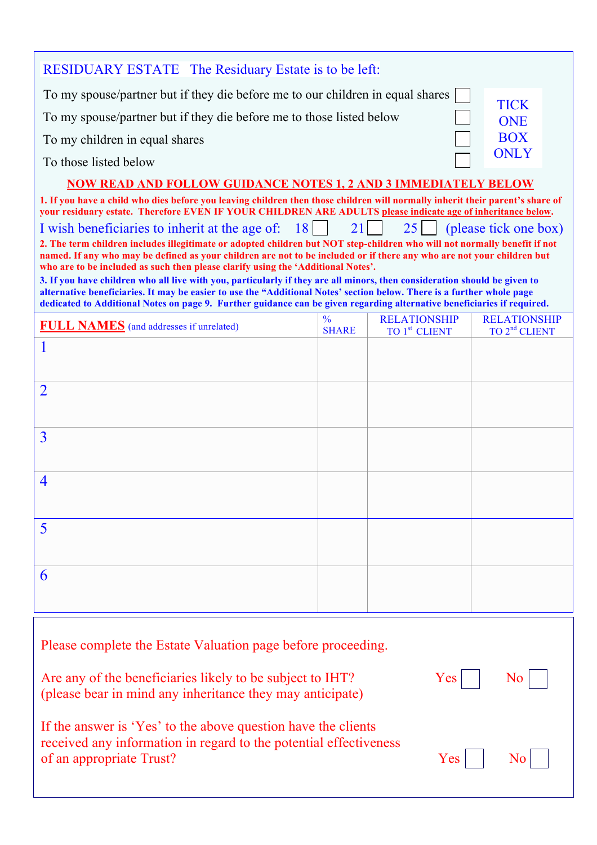| <b>RESIDUARY ESTATE</b> The Residuary Estate is to be left:                                                                                                                                                                                                                                                                                                                    |                               |                                                  |                                                  |
|--------------------------------------------------------------------------------------------------------------------------------------------------------------------------------------------------------------------------------------------------------------------------------------------------------------------------------------------------------------------------------|-------------------------------|--------------------------------------------------|--------------------------------------------------|
| To my spouse/partner but if they die before me to our children in equal shares                                                                                                                                                                                                                                                                                                 |                               |                                                  |                                                  |
| To my spouse/partner but if they die before me to those listed below                                                                                                                                                                                                                                                                                                           |                               |                                                  | <b>TICK</b><br><b>ONE</b>                        |
| To my children in equal shares                                                                                                                                                                                                                                                                                                                                                 |                               |                                                  | <b>BOX</b>                                       |
| To those listed below                                                                                                                                                                                                                                                                                                                                                          |                               |                                                  | <b>ONLY</b>                                      |
| <b>NOW READ AND FOLLOW GUIDANCE NOTES 1, 2 AND 3 IMMEDIATELY BELOW</b>                                                                                                                                                                                                                                                                                                         |                               |                                                  |                                                  |
| 1. If you have a child who dies before you leaving children then those children will normally inherit their parent's share of<br>your residuary estate. Therefore EVEN IF YOUR CHILDREN ARE ADULTS please indicate age of inheritance below.                                                                                                                                   |                               |                                                  |                                                  |
| I wish beneficiaries to inherit at the age of: 18                                                                                                                                                                                                                                                                                                                              | 21                            | $25$                                             | (please tick one box)                            |
| 2. The term children includes illegitimate or adopted children but NOT step-children who will not normally benefit if not<br>named. If any who may be defined as your children are not to be included or if there any who are not your children but<br>who are to be included as such then please clarify using the 'Additional Notes'.                                        |                               |                                                  |                                                  |
| 3. If you have children who all live with you, particularly if they are all minors, then consideration should be given to<br>alternative beneficiaries. It may be easier to use the "Additional Notes' section below. There is a further whole page<br>dedicated to Additional Notes on page 9. Further guidance can be given regarding alternative beneficiaries if required. |                               |                                                  |                                                  |
| <b>FULL NAMES</b> (and addresses if unrelated)                                                                                                                                                                                                                                                                                                                                 | $\frac{0}{0}$<br><b>SHARE</b> | <b>RELATIONSHIP</b><br>TO 1 <sup>st</sup> CLIENT | <b>RELATIONSHIP</b><br>TO 2 <sup>nd</sup> CLIENT |
|                                                                                                                                                                                                                                                                                                                                                                                |                               |                                                  |                                                  |
| $\overline{2}$                                                                                                                                                                                                                                                                                                                                                                 |                               |                                                  |                                                  |
| $\overline{3}$                                                                                                                                                                                                                                                                                                                                                                 |                               |                                                  |                                                  |
| $\overline{4}$                                                                                                                                                                                                                                                                                                                                                                 |                               |                                                  |                                                  |
| 5                                                                                                                                                                                                                                                                                                                                                                              |                               |                                                  |                                                  |
| 6                                                                                                                                                                                                                                                                                                                                                                              |                               |                                                  |                                                  |
| Please complete the Estate Valuation page before proceeding.                                                                                                                                                                                                                                                                                                                   |                               |                                                  |                                                  |
| Yes<br>Are any of the beneficiaries likely to be subject to IHT?<br>N <sub>0</sub><br>(please bear in mind any inheritance they may anticipate)                                                                                                                                                                                                                                |                               |                                                  |                                                  |
| If the answer is 'Yes' to the above question have the clients<br>received any information in regard to the potential effectiveness<br>of an appropriate Trust?<br>Yes<br>N <sub>0</sub>                                                                                                                                                                                        |                               |                                                  |                                                  |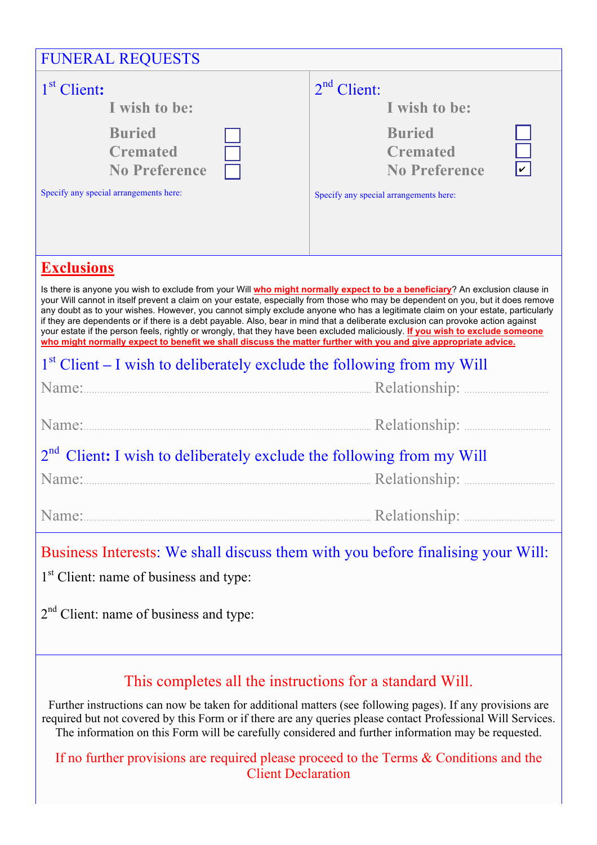| <b>FUNERAL REQUESTS</b>                                                                                                                                                                                                                                                                                                                                                                                                                                                                                                                                                                                                                                                                                                                                                                 |                                                 |  |  |
|-----------------------------------------------------------------------------------------------------------------------------------------------------------------------------------------------------------------------------------------------------------------------------------------------------------------------------------------------------------------------------------------------------------------------------------------------------------------------------------------------------------------------------------------------------------------------------------------------------------------------------------------------------------------------------------------------------------------------------------------------------------------------------------------|-------------------------------------------------|--|--|
| 1 <sup>st</sup> Client:                                                                                                                                                                                                                                                                                                                                                                                                                                                                                                                                                                                                                                                                                                                                                                 | $2nd$ Client:                                   |  |  |
| I wish to be:                                                                                                                                                                                                                                                                                                                                                                                                                                                                                                                                                                                                                                                                                                                                                                           | I wish to be:                                   |  |  |
| <b>Buried</b>                                                                                                                                                                                                                                                                                                                                                                                                                                                                                                                                                                                                                                                                                                                                                                           | <b>Buried</b>                                   |  |  |
| <b>Cremated</b>                                                                                                                                                                                                                                                                                                                                                                                                                                                                                                                                                                                                                                                                                                                                                                         | <b>Cremated</b>                                 |  |  |
| <b>No Preference</b>                                                                                                                                                                                                                                                                                                                                                                                                                                                                                                                                                                                                                                                                                                                                                                    | $\overline{\mathbf{v}}$<br><b>No Preference</b> |  |  |
| Specify any special arrangements here:                                                                                                                                                                                                                                                                                                                                                                                                                                                                                                                                                                                                                                                                                                                                                  | Specify any special arrangements here:          |  |  |
|                                                                                                                                                                                                                                                                                                                                                                                                                                                                                                                                                                                                                                                                                                                                                                                         |                                                 |  |  |
| <b>Exclusions</b>                                                                                                                                                                                                                                                                                                                                                                                                                                                                                                                                                                                                                                                                                                                                                                       |                                                 |  |  |
| Is there is anyone you wish to exclude from your Will who might normally expect to be a beneficiary? An exclusion clause in<br>your Will cannot in itself prevent a claim on your estate, especially from those who may be dependent on you, but it does remove<br>any doubt as to your wishes. However, you cannot simply exclude anyone who has a legitimate claim on your estate, particularly<br>if they are dependents or if there is a debt payable. Also, bear in mind that a deliberate exclusion can provoke action against<br>your estate if the person feels, rightly or wrongly, that they have been excluded maliciously. If you wish to exclude someone<br>who might normally expect to benefit we shall discuss the matter further with you and give appropriate advice. |                                                 |  |  |
| $1st$ Client – I wish to deliberately exclude the following from my Will                                                                                                                                                                                                                                                                                                                                                                                                                                                                                                                                                                                                                                                                                                                |                                                 |  |  |
| Name: Name: Name: Name: Name: Name: Name: Name: Name: Name: Name: Name: Name: Name: Name: Name: Name: Name: Name: Name: Name: Name: Name: Name: Name: Name: Name: Name: Name: Name: Name: Name: Name: Name: Name: Name: Name:                                                                                                                                                                                                                                                                                                                                                                                                                                                                                                                                                           |                                                 |  |  |
|                                                                                                                                                                                                                                                                                                                                                                                                                                                                                                                                                                                                                                                                                                                                                                                         |                                                 |  |  |
|                                                                                                                                                                                                                                                                                                                                                                                                                                                                                                                                                                                                                                                                                                                                                                                         |                                                 |  |  |
| 2 <sup>nd</sup> Client: I wish to deliberately exclude the following from my Will                                                                                                                                                                                                                                                                                                                                                                                                                                                                                                                                                                                                                                                                                                       |                                                 |  |  |
|                                                                                                                                                                                                                                                                                                                                                                                                                                                                                                                                                                                                                                                                                                                                                                                         |                                                 |  |  |
| Name:                                                                                                                                                                                                                                                                                                                                                                                                                                                                                                                                                                                                                                                                                                                                                                                   |                                                 |  |  |
| Business Interests: We shall discuss them with you before finalising your Will:                                                                                                                                                                                                                                                                                                                                                                                                                                                                                                                                                                                                                                                                                                         |                                                 |  |  |
| 1 <sup>st</sup> Client: name of business and type:                                                                                                                                                                                                                                                                                                                                                                                                                                                                                                                                                                                                                                                                                                                                      |                                                 |  |  |
|                                                                                                                                                                                                                                                                                                                                                                                                                                                                                                                                                                                                                                                                                                                                                                                         |                                                 |  |  |

2<sup>nd</sup> Client: name of business and type:

## This completes all the instructions for a standard Will.

Further instructions can now be taken for additional matters (see following pages). If any provisions are required but not covered by this Form or if there are any queries please contact Professional Will Services. The information on this Form will be carefully considered and further information may be requested.

If no further provisions are required please proceed to the Terms & Conditions and the Client Declaration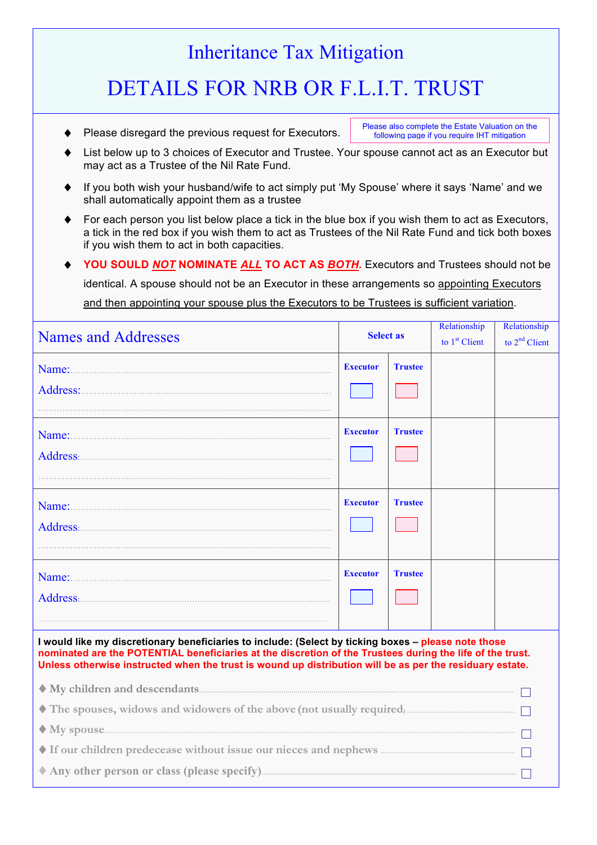## Inheritance Tax Mitigation DETAILS FOR NRB OR F.L.I.T. TRUST Please disregard the previous request for Executors. Please also complete the Estate Valuation on the following page if you require IHT mitigation

- List below up to 3 choices of Executor and Trustee. Your spouse cannot act as an Executor but may act as a Trustee of the Nil Rate Fund.
- If you both wish your husband/wife to act simply put 'My Spouse' where it says 'Name' and we shall automatically appoint them as a trustee
- For each person you list below place a tick in the blue box if you wish them to act as Executors, a tick in the red box if you wish them to act as Trustees of the Nil Rate Fund and tick both boxes if you wish them to act in both capacities.
- ♦ **YOU SOULD** *NOT* **NOMINATE** *ALL* **TO ACT AS** *BOTH.* Executors and Trustees should not be identical. A spouse should not be an Executor in these arrangements so appointing Executors

and then appointing your spouse plus the Executors to be Trustees is sufficient variation.

| <b>Names and Addresses</b> | <b>Select as</b> |                | Relationship<br>to $1st$ Client | Relationship<br>to $2nd$ Client |
|----------------------------|------------------|----------------|---------------------------------|---------------------------------|
| Name:                      | <b>Executor</b>  | <b>Trustee</b> |                                 |                                 |
| Address:                   |                  |                |                                 |                                 |
| Name:                      | <b>Executor</b>  | <b>Trustee</b> |                                 |                                 |
| Address:                   |                  |                |                                 |                                 |
| Name:                      | <b>Executor</b>  | <b>Trustee</b> |                                 |                                 |
| Address:                   |                  |                |                                 |                                 |
| Name:                      | <b>Executor</b>  | <b>Trustee</b> |                                 |                                 |
| Address:                   |                  |                |                                 |                                 |
|                            |                  |                |                                 |                                 |

**I would like my discretionary beneficiaries to include: (Select by ticking boxes – please note those nominated are the POTENTIAL beneficiaries at the discretion of the Trustees during the life of the trust. Unless otherwise instructed when the trust is wound up distribution will be as per the residuary estate.**

| The spouses, widows and widowers of the above (not usually required) |
|----------------------------------------------------------------------|
|                                                                      |
|                                                                      |
|                                                                      |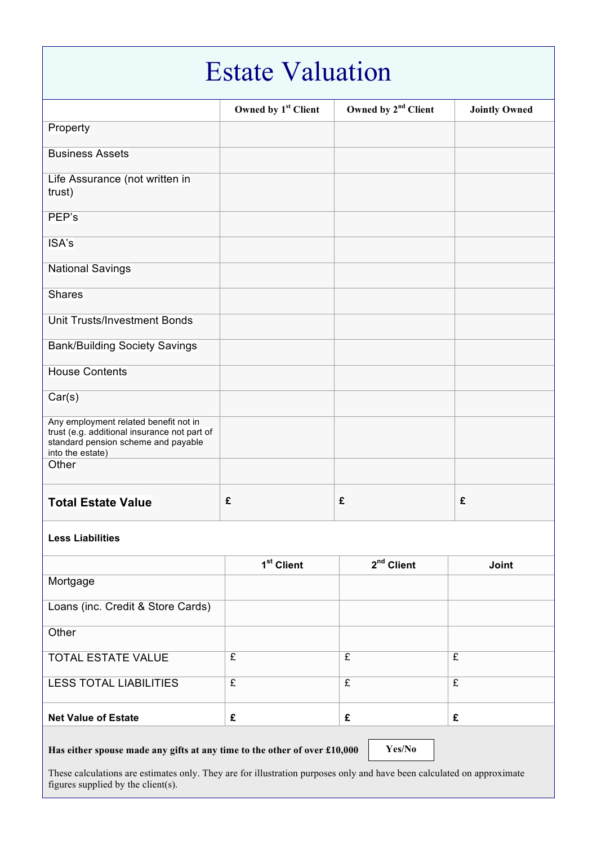| <b>Estate Valuation</b>                                                                                                                          |                                 |                                 |                      |
|--------------------------------------------------------------------------------------------------------------------------------------------------|---------------------------------|---------------------------------|----------------------|
|                                                                                                                                                  | Owned by 1 <sup>st</sup> Client | Owned by 2 <sup>nd</sup> Client | <b>Jointly Owned</b> |
| Property                                                                                                                                         |                                 |                                 |                      |
| <b>Business Assets</b>                                                                                                                           |                                 |                                 |                      |
| Life Assurance (not written in<br>trust)                                                                                                         |                                 |                                 |                      |
| PEP's                                                                                                                                            |                                 |                                 |                      |
| ISA's                                                                                                                                            |                                 |                                 |                      |
| <b>National Savings</b>                                                                                                                          |                                 |                                 |                      |
| <b>Shares</b>                                                                                                                                    |                                 |                                 |                      |
| Unit Trusts/Investment Bonds                                                                                                                     |                                 |                                 |                      |
| <b>Bank/Building Society Savings</b>                                                                                                             |                                 |                                 |                      |
| <b>House Contents</b>                                                                                                                            |                                 |                                 |                      |
| Car(s)                                                                                                                                           |                                 |                                 |                      |
| Any employment related benefit not in<br>trust (e.g. additional insurance not part of<br>standard pension scheme and payable<br>into the estate) |                                 |                                 |                      |
| Other                                                                                                                                            |                                 |                                 |                      |
| <b>Total Estate Value</b>                                                                                                                        | £                               | £                               | £                    |
| <b>Less Liabilities</b>                                                                                                                          |                                 |                                 |                      |
|                                                                                                                                                  | 1 <sup>st</sup> Client          | 2 <sup>nd</sup> Client          | Joint                |
| Mortgage                                                                                                                                         |                                 |                                 |                      |
| Loans (inc. Credit & Store Cards)                                                                                                                |                                 |                                 |                      |

These calculations are estimates only. They are for illustration purposes only and have been calculated on approximate figures supplied by the client(s).

**Yes/No**

TOTAL ESTATE VALUE  $\qquad \qquad$   $\qquad$   $\qquad$   $\qquad$   $\qquad$   $\qquad$   $\qquad$   $\qquad$   $\qquad$   $\qquad$   $\qquad$   $\qquad$   $\qquad$   $\qquad$   $\qquad$   $\qquad$   $\qquad$   $\qquad$   $\qquad$   $\qquad$   $\qquad$   $\qquad$   $\qquad$   $\qquad$   $\qquad$   $\qquad$   $\qquad$   $\qquad$   $\qquad$   $\qquad$   $\qquad$   $\qquad$   $\qquad$ 

LESS TOTAL LIABILITIES  $\fbox{\tt E}$   $\fbox{\tt E}$   $\qquad$   $\fbox{\tt E}$ 

**Net Value of Estate £ £ £**

**Has either spouse made any gifts at any time to the other of over £10,000** 

**Other**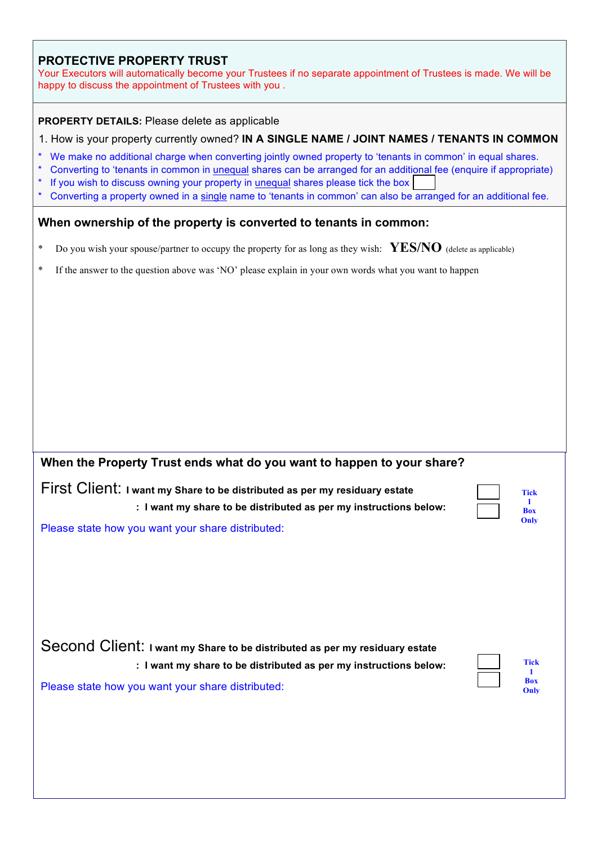#### **PROTECTIVE PROPERTY TRUST**

Your Executors will automatically become your Trustees if no separate appointment of Trustees is made. We will be happy to discuss the appointment of Trustees with you .

#### **PROPERTY DETAILS:** Please delete as applicable

#### 1. How is your property currently owned? **IN A SINGLE NAME / JOINT NAMES / TENANTS IN COMMON**

- \* We make no additional charge when converting jointly owned property to 'tenants in common' in equal shares.
- \* Converting to 'tenants in common in unequal shares can be arranged for an additional fee (enquire if appropriate)
- If you wish to discuss owning your property in unequal shares please tick the box
- Converting a property owned in a single name to 'tenants in common' can also be arranged for an additional fee.

#### **When ownership of the property is converted to tenants in common:**

- \* Do you wish your spouse/partner to occupy the property for as long as they wish: **YES/NO** (delete as applicable)
- \* If the answer to the question above was 'NO' please explain in your own words what you want to happen

#### **When the Property Trust ends what do you want to happen to your share?**

First Client: **I want my Share to be distributed as per my residuary estate : I want my share to be distributed as per my instructions below:** 

| Tick       |
|------------|
|            |
| <b>Box</b> |
| Only       |

Please state how you want your share distributed:

Second Client: **I want my Share to be distributed as per my residuary estate : I want my share to be distributed as per my instructions below:**  Please state how you want your share distributed:

| <b>Tick</b> |
|-------------|
|             |
| <b>Box</b>  |
| Only        |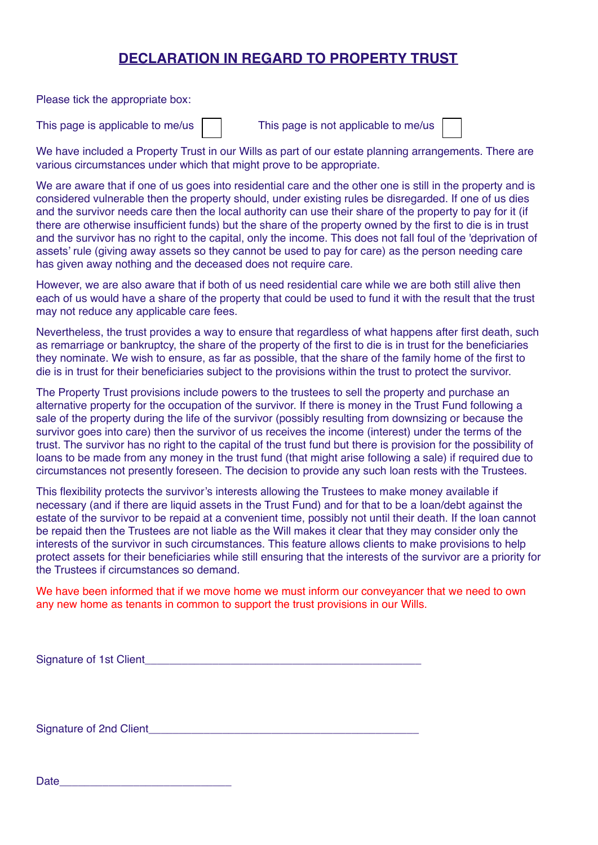### **DECLARATION IN REGARD TO PROPERTY TRUST**

Please tick the appropriate box:

This page is applicable to me/us  $\vert \vert$  This page is not applicable to me/us

| í. | $\overline{\phantom{a}}$ |
|----|--------------------------|
|    |                          |
|    |                          |
|    |                          |
|    |                          |

We have included a Property Trust in our Wills as part of our estate planning arrangements. There are various circumstances under which that might prove to be appropriate.

We are aware that if one of us goes into residential care and the other one is still in the property and is considered vulnerable then the property should, under existing rules be disregarded. If one of us dies and the survivor needs care then the local authority can use their share of the property to pay for it (if there are otherwise insufficient funds) but the share of the property owned by the first to die is in trust and the survivor has no right to the capital, only the income. This does not fall foul of the 'deprivation of assets' rule (giving away assets so they cannot be used to pay for care) as the person needing care has given away nothing and the deceased does not require care.

However, we are also aware that if both of us need residential care while we are both still alive then each of us would have a share of the property that could be used to fund it with the result that the trust may not reduce any applicable care fees.

Nevertheless, the trust provides a way to ensure that regardless of what happens after first death, such as remarriage or bankruptcy, the share of the property of the first to die is in trust for the beneficiaries they nominate. We wish to ensure, as far as possible, that the share of the family home of the first to die is in trust for their beneficiaries subject to the provisions within the trust to protect the survivor.

The Property Trust provisions include powers to the trustees to sell the property and purchase an alternative property for the occupation of the survivor. If there is money in the Trust Fund following a sale of the property during the life of the survivor (possibly resulting from downsizing or because the survivor goes into care) then the survivor of us receives the income (interest) under the terms of the trust. The survivor has no right to the capital of the trust fund but there is provision for the possibility of loans to be made from any money in the trust fund (that might arise following a sale) if required due to circumstances not presently foreseen. The decision to provide any such loan rests with the Trustees.

This flexibility protects the survivor's interests allowing the Trustees to make money available if necessary (and if there are liquid assets in the Trust Fund) and for that to be a loan/debt against the estate of the survivor to be repaid at a convenient time, possibly not until their death. If the loan cannot be repaid then the Trustees are not liable as the Will makes it clear that they may consider only the interests of the survivor in such circumstances. This feature allows clients to make provisions to help protect assets for their beneficiaries while still ensuring that the interests of the survivor are a priority for the Trustees if circumstances so demand.

We have been informed that if we move home we must inform our conveyancer that we need to own any new home as tenants in common to support the trust provisions in our Wills.

Signature of 1st Client\_\_\_\_\_\_\_\_\_\_\_\_\_\_\_\_\_\_\_\_\_\_\_\_\_\_\_\_\_\_\_\_\_\_\_\_\_\_\_\_\_\_\_\_\_

Signature of 2nd Client

Date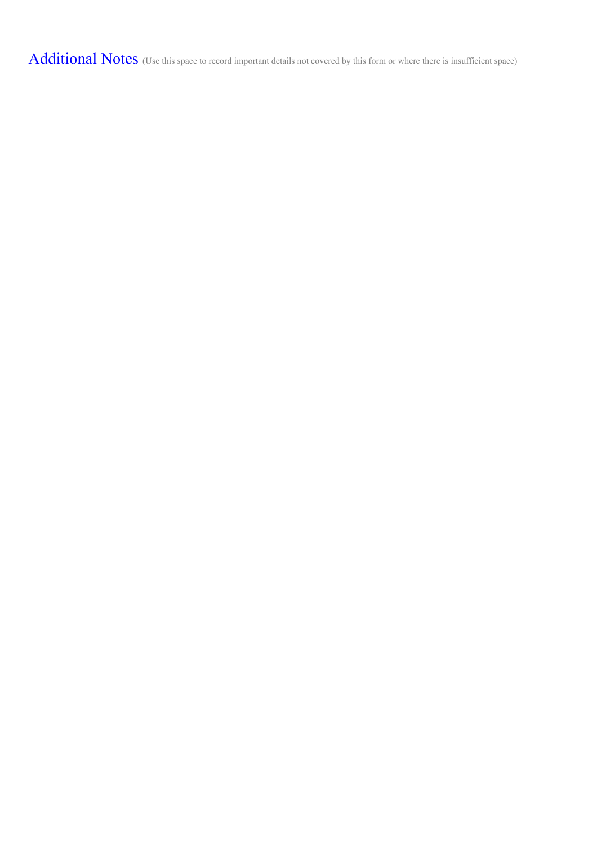Additional Notes (Use this space to record important details not covered by this form or where there is insufficient space)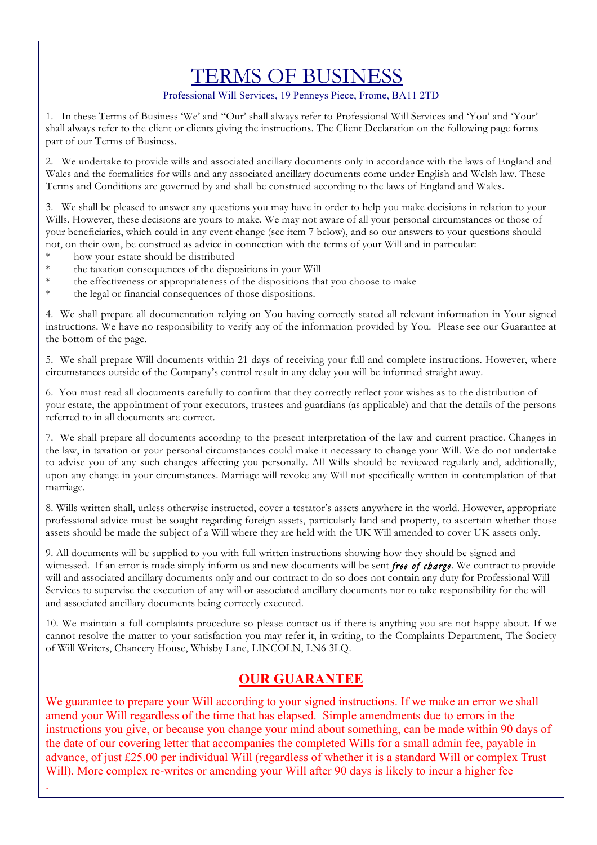## TERMS OF BUSINESS

#### Professional Will Services, 19 Penneys Piece, Frome, BA11 2TD

1. In these Terms of Business 'We' and "Our' shall always refer to Professional Will Services and 'You' and 'Your' shall always refer to the client or clients giving the instructions. The Client Declaration on the following page forms part of our Terms of Business.

2. We undertake to provide wills and associated ancillary documents only in accordance with the laws of England and Wales and the formalities for wills and any associated ancillary documents come under English and Welsh law. These Terms and Conditions are governed by and shall be construed according to the laws of England and Wales.

3. We shall be pleased to answer any questions you may have in order to help you make decisions in relation to your Wills. However, these decisions are yours to make. We may not aware of all your personal circumstances or those of your beneficiaries, which could in any event change (see item 7 below), and so our answers to your questions should not, on their own, be construed as advice in connection with the terms of your Will and in particular:

\* how your estate should be distributed

.

- the taxation consequences of the dispositions in your Will
- \* the effectiveness or appropriateness of the dispositions that you choose to make
- the legal or financial consequences of those dispositions.

4. We shall prepare all documentation relying on You having correctly stated all relevant information in Your signed instructions. We have no responsibility to verify any of the information provided by You. Please see our Guarantee at the bottom of the page.

5. We shall prepare Will documents within 21 days of receiving your full and complete instructions. However, where circumstances outside of the Company's control result in any delay you will be informed straight away.

6. You must read all documents carefully to confirm that they correctly reflect your wishes as to the distribution of your estate, the appointment of your executors, trustees and guardians (as applicable) and that the details of the persons referred to in all documents are correct.

7. We shall prepare all documents according to the present interpretation of the law and current practice. Changes in the law, in taxation or your personal circumstances could make it necessary to change your Will. We do not undertake to advise you of any such changes affecting you personally. All Wills should be reviewed regularly and, additionally, upon any change in your circumstances. Marriage will revoke any Will not specifically written in contemplation of that marriage.

8. Wills written shall, unless otherwise instructed, cover a testator's assets anywhere in the world. However, appropriate professional advice must be sought regarding foreign assets, particularly land and property, to ascertain whether those assets should be made the subject of a Will where they are held with the UK Will amended to cover UK assets only.

9. All documents will be supplied to you with full written instructions showing how they should be signed and witnessed. If an error is made simply inform us and new documents will be sent *free of charge*. We contract to provide will and associated ancillary documents only and our contract to do so does not contain any duty for Professional Will Services to supervise the execution of any will or associated ancillary documents nor to take responsibility for the will and associated ancillary documents being correctly executed.

10. We maintain a full complaints procedure so please contact us if there is anything you are not happy about. If we cannot resolve the matter to your satisfaction you may refer it, in writing, to the Complaints Department, The Society of Will Writers, Chancery House, Whisby Lane, LINCOLN, LN6 3LQ.

### **OUR GUARANTEE**

We guarantee to prepare your Will according to your signed instructions. If we make an error we shall amend your Will regardless of the time that has elapsed. Simple amendments due to errors in the instructions you give, or because you change your mind about something, can be made within 90 days of the date of our covering letter that accompanies the completed Wills for a small admin fee, payable in advance, of just £25.00 per individual Will (regardless of whether it is a standard Will or complex Trust Will). More complex re-writes or amending your Will after 90 days is likely to incur a higher fee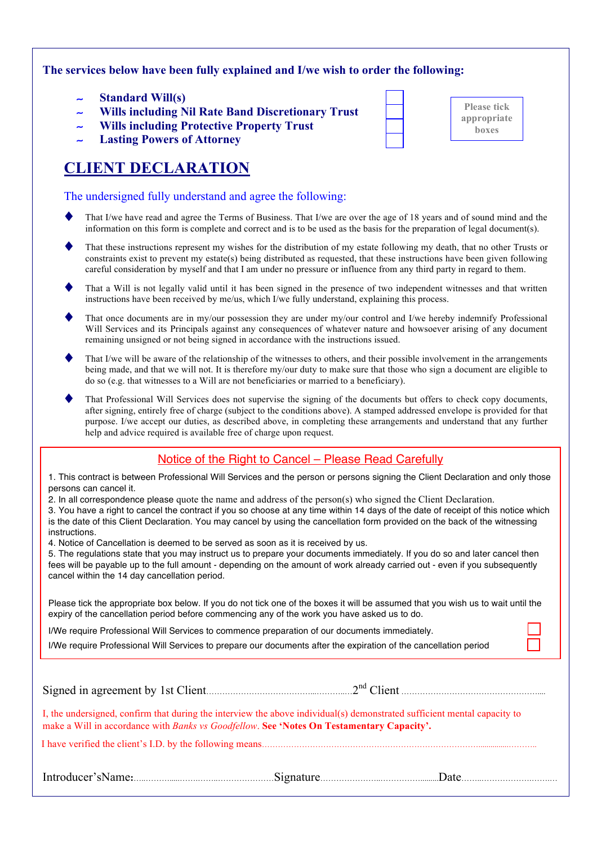#### **The services below have been fully explained and I/we wish to order the following:**

- ∼ **Standard Will(s)**
- ∼ **Wills including Nil Rate Band Discretionary Trust**
- ∼ **Wills including Protective Property Trust**
- ∼ **Lasting Powers of Attorney**

## **CLIENT DECLARATION**

#### The undersigned fully understand and agree the following:

- That I/we have read and agree the Terms of Business. That I/we are over the age of 18 years and of sound mind and the information on this form is complete and correct and is to be used as the basis for the preparation of legal document(s).
- That these instructions represent my wishes for the distribution of my estate following my death, that no other Trusts or constraints exist to prevent my estate(s) being distributed as requested, that these instructions have been given following careful consideration by myself and that I am under no pressure or influence from any third party in regard to them.
- That a Will is not legally valid until it has been signed in the presence of two independent witnesses and that written instructions have been received by me/us, which I/we fully understand, explaining this process.
- That once documents are in my/our possession they are under my/our control and I/we hereby indemnify Professional Will Services and its Principals against any consequences of whatever nature and howsoever arising of any document remaining unsigned or not being signed in accordance with the instructions issued.
- That I/we will be aware of the relationship of the witnesses to others, and their possible involvement in the arrangements being made, and that we will not. It is therefore my/our duty to make sure that those who sign a document are eligible to do so (e.g. that witnesses to a Will are not beneficiaries or married to a beneficiary).
- That Professional Will Services does not supervise the signing of the documents but offers to check copy documents, after signing, entirely free of charge (subject to the conditions above). A stamped addressed envelope is provided for that purpose. I/we accept our duties, as described above, in completing these arrangements and understand that any further help and advice required is available free of charge upon request.

#### Notice of the Right to Cancel – Please Read Carefully

1. This contract is between Professional Will Services and the person or persons signing the Client Declaration and only those persons can cancel it.

2. In all correspondence please quote the name and address of the person(s) who signed the Client Declaration.

3. You have a right to cancel the contract if you so choose at any time within 14 days of the date of receipt of this notice which is the date of this Client Declaration. You may cancel by using the cancellation form provided on the back of the witnessing instructions.

4. Notice of Cancellation is deemed to be served as soon as it is received by us.

5. The regulations state that you may instruct us to prepare your documents immediately. If you do so and later cancel then fees will be payable up to the full amount - depending on the amount of work already carried out - even if you subsequently cancel within the 14 day cancellation period.

Please tick the appropriate box below. If you do not tick one of the boxes it will be assumed that you wish us to wait until the expiry of the cancellation period before commencing any of the work you have asked us to do.

I/We require Professional Will Services to commence preparation of our documents immediately.

I/We require Professional Will Services to prepare our documents after the expiration of the cancellation period

| I, the undersigned, confirm that during the interview the above individual(s) demonstrated sufficient mental capacity to<br>make a Will in accordance with Banks vs Goodfellow. See 'Notes On Testamentary Capacity'. |
|-----------------------------------------------------------------------------------------------------------------------------------------------------------------------------------------------------------------------|
|                                                                                                                                                                                                                       |
|                                                                                                                                                                                                                       |

| <b>Please tick</b><br>appropriate<br>boxes |
|--------------------------------------------|
|                                            |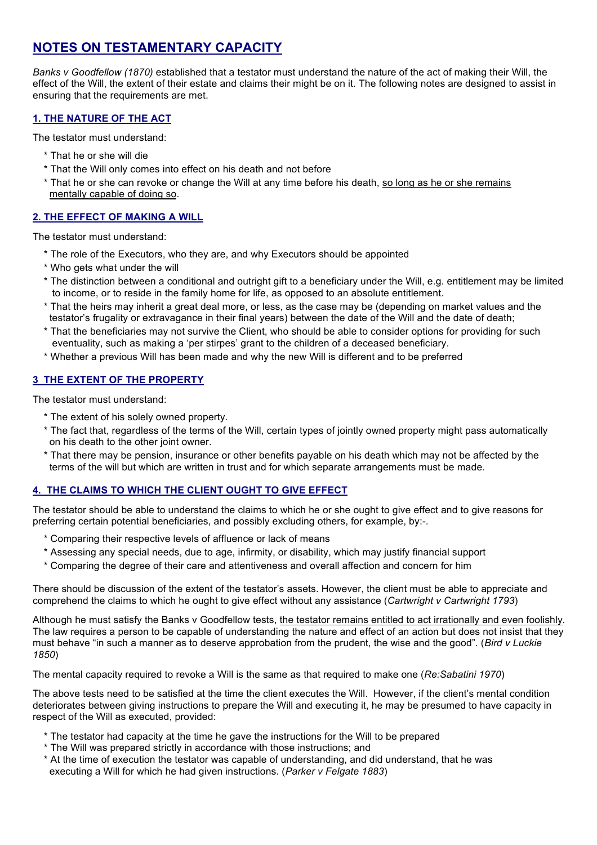### **NOTES ON TESTAMENTARY CAPACITY**

*Banks v Goodfellow (1870)* established that a testator must understand the nature of the act of making their Will, the effect of the Will, the extent of their estate and claims their might be on it. The following notes are designed to assist in ensuring that the requirements are met.

#### **1. THE NATURE OF THE ACT**

The testator must understand:

- \* That he or she will die
- \* That the Will only comes into effect on his death and not before
- \* That he or she can revoke or change the Will at any time before his death, so long as he or she remains mentally capable of doing so.

#### **2. THE EFFECT OF MAKING A WILL**

The testator must understand:

- \* The role of the Executors, who they are, and why Executors should be appointed
- \* Who gets what under the will
- \* The distinction between a conditional and outright gift to a beneficiary under the Will, e.g. entitlement may be limited to income, or to reside in the family home for life, as opposed to an absolute entitlement.
- \* That the heirs may inherit a great deal more, or less, as the case may be (depending on market values and the testator's frugality or extravagance in their final years) between the date of the Will and the date of death;
- \* That the beneficiaries may not survive the Client, who should be able to consider options for providing for such eventuality, such as making a 'per stirpes' grant to the children of a deceased beneficiary.
- \* Whether a previous Will has been made and why the new Will is different and to be preferred

#### **3 THE EXTENT OF THE PROPERTY**

The testator must understand:

- \* The extent of his solely owned property.
- \* The fact that, regardless of the terms of the Will, certain types of jointly owned property might pass automatically on his death to the other joint owner.
- \* That there may be pension, insurance or other benefits payable on his death which may not be affected by the terms of the will but which are written in trust and for which separate arrangements must be made.

#### **4. THE CLAIMS TO WHICH THE CLIENT OUGHT TO GIVE EFFECT**

The testator should be able to understand the claims to which he or she ought to give effect and to give reasons for preferring certain potential beneficiaries, and possibly excluding others, for example, by:-.

- \* Comparing their respective levels of affluence or lack of means
- \* Assessing any special needs, due to age, infirmity, or disability, which may justify financial support
- \* Comparing the degree of their care and attentiveness and overall affection and concern for him

There should be discussion of the extent of the testator's assets. However, the client must be able to appreciate and comprehend the claims to which he ought to give effect without any assistance (*Cartwright v Cartwright 1793*)

Although he must satisfy the Banks v Goodfellow tests, the testator remains entitled to act irrationally and even foolishly. The law requires a person to be capable of understanding the nature and effect of an action but does not insist that they must behave "in such a manner as to deserve approbation from the prudent, the wise and the good". (*Bird v Luckie 1850*)

The mental capacity required to revoke a Will is the same as that required to make one (*Re:Sabatini 1970*)

The above tests need to be satisfied at the time the client executes the Will. However, if the client's mental condition deteriorates between giving instructions to prepare the Will and executing it, he may be presumed to have capacity in respect of the Will as executed, provided:

- \* The testator had capacity at the time he gave the instructions for the Will to be prepared
- \* The Will was prepared strictly in accordance with those instructions; and
- \* At the time of execution the testator was capable of understanding, and did understand, that he was executing a Will for which he had given instructions. (*Parker v Felgate 1883*)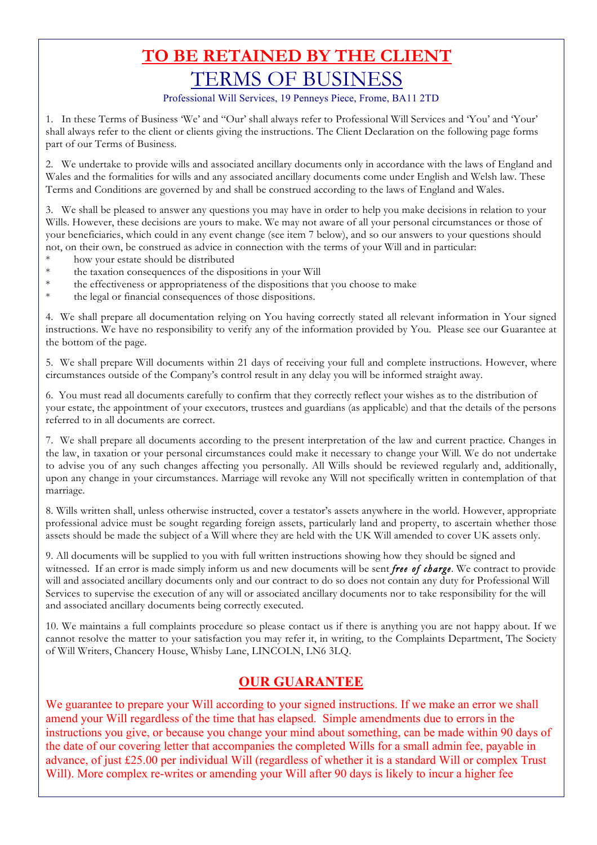## **TO BE RETAINED BY THE CLIENT** TERMS OF BUSINESS

Professional Will Services, 19 Penneys Piece, Frome, BA11 2TD

1. In these Terms of Business 'We' and "Our' shall always refer to Professional Will Services and 'You' and 'Your' shall always refer to the client or clients giving the instructions. The Client Declaration on the following page forms part of our Terms of Business.

2. We undertake to provide wills and associated ancillary documents only in accordance with the laws of England and Wales and the formalities for wills and any associated ancillary documents come under English and Welsh law. These Terms and Conditions are governed by and shall be construed according to the laws of England and Wales.

3. We shall be pleased to answer any questions you may have in order to help you make decisions in relation to your Wills. However, these decisions are yours to make. We may not aware of all your personal circumstances or those of your beneficiaries, which could in any event change (see item 7 below), and so our answers to your questions should not, on their own, be construed as advice in connection with the terms of your Will and in particular:

- how your estate should be distributed
- \* the taxation consequences of the dispositions in your Will
- \* the effectiveness or appropriateness of the dispositions that you choose to make
- the legal or financial consequences of those dispositions.

4. We shall prepare all documentation relying on You having correctly stated all relevant information in Your signed instructions. We have no responsibility to verify any of the information provided by You. Please see our Guarantee at the bottom of the page.

5. We shall prepare Will documents within 21 days of receiving your full and complete instructions. However, where circumstances outside of the Company's control result in any delay you will be informed straight away.

6. You must read all documents carefully to confirm that they correctly reflect your wishes as to the distribution of your estate, the appointment of your executors, trustees and guardians (as applicable) and that the details of the persons referred to in all documents are correct.

7. We shall prepare all documents according to the present interpretation of the law and current practice. Changes in the law, in taxation or your personal circumstances could make it necessary to change your Will. We do not undertake to advise you of any such changes affecting you personally. All Wills should be reviewed regularly and, additionally, upon any change in your circumstances. Marriage will revoke any Will not specifically written in contemplation of that marriage.

8. Wills written shall, unless otherwise instructed, cover a testator's assets anywhere in the world. However, appropriate professional advice must be sought regarding foreign assets, particularly land and property, to ascertain whether those assets should be made the subject of a Will where they are held with the UK Will amended to cover UK assets only.

9. All documents will be supplied to you with full written instructions showing how they should be signed and witnessed. If an error is made simply inform us and new documents will be sent *free of charge*. We contract to provide will and associated ancillary documents only and our contract to do so does not contain any duty for Professional Will Services to supervise the execution of any will or associated ancillary documents nor to take responsibility for the will and associated ancillary documents being correctly executed.

10. We maintains a full complaints procedure so please contact us if there is anything you are not happy about. If we cannot resolve the matter to your satisfaction you may refer it, in writing, to the Complaints Department, The Society of Will Writers, Chancery House, Whisby Lane, LINCOLN, LN6 3LQ.

### **OUR GUARANTEE**

We guarantee to prepare your Will according to your signed instructions. If we make an error we shall amend your Will regardless of the time that has elapsed. Simple amendments due to errors in the instructions you give, or because you change your mind about something, can be made within 90 days of the date of our covering letter that accompanies the completed Wills for a small admin fee, payable in advance, of just £25.00 per individual Will (regardless of whether it is a standard Will or complex Trust Will). More complex re-writes or amending your Will after 90 days is likely to incur a higher fee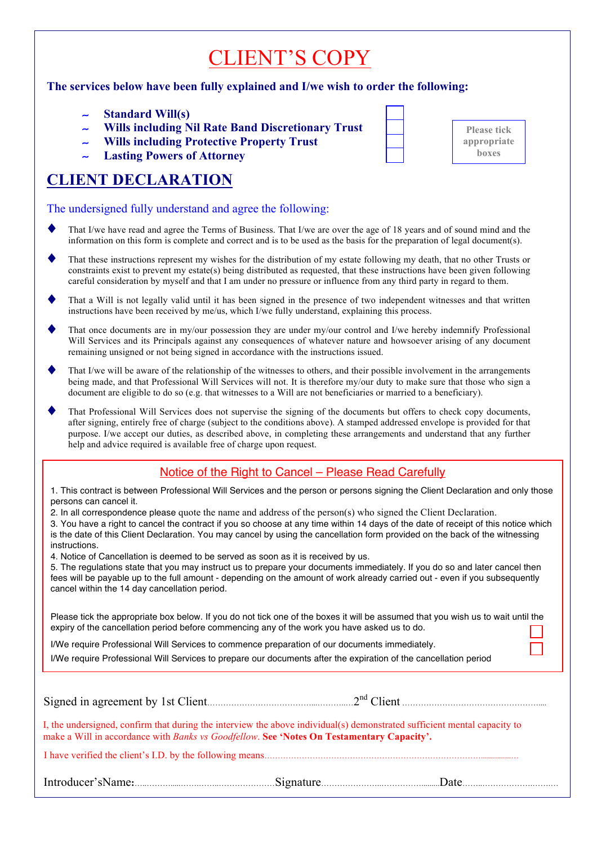# CLIENT'S COPY

#### **The services below have been fully explained and I/we wish to order the following:**

- ∼ **Standard Will(s)**
- ∼ **Wills including Nil Rate Band Discretionary Trust**
- ∼ **Wills including Protective Property Trust**
- ∼ **Lasting Powers of Attorney**

## **CLIENT DECLARATION**

The undersigned fully understand and agree the following:

- That I/we have read and agree the Terms of Business. That I/we are over the age of 18 years and of sound mind and the information on this form is complete and correct and is to be used as the basis for the preparation of legal document(s).
- That these instructions represent my wishes for the distribution of my estate following my death, that no other Trusts or constraints exist to prevent my estate(s) being distributed as requested, that these instructions have been given following careful consideration by myself and that I am under no pressure or influence from any third party in regard to them.
- That a Will is not legally valid until it has been signed in the presence of two independent witnesses and that written instructions have been received by me/us, which I/we fully understand, explaining this process.
- That once documents are in my/our possession they are under my/our control and I/we hereby indemnify Professional Will Services and its Principals against any consequences of whatever nature and howsoever arising of any document remaining unsigned or not being signed in accordance with the instructions issued.
- That I/we will be aware of the relationship of the witnesses to others, and their possible involvement in the arrangements being made, and that Professional Will Services will not. It is therefore my/our duty to make sure that those who sign a document are eligible to do so (e.g. that witnesses to a Will are not beneficiaries or married to a beneficiary).
- That Professional Will Services does not supervise the signing of the documents but offers to check copy documents, after signing, entirely free of charge (subject to the conditions above). A stamped addressed envelope is provided for that purpose. I/we accept our duties, as described above, in completing these arrangements and understand that any further help and advice required is available free of charge upon request.

### Notice of the Right to Cancel – Please Read Carefully

1. This contract is between Professional Will Services and the person or persons signing the Client Declaration and only those persons can cancel it.

2. In all correspondence please quote the name and address of the person(s) who signed the Client Declaration.

3. You have a right to cancel the contract if you so choose at any time within 14 days of the date of receipt of this notice which is the date of this Client Declaration. You may cancel by using the cancellation form provided on the back of the witnessing instructions.

4. Notice of Cancellation is deemed to be served as soon as it is received by us.

5. The regulations state that you may instruct us to prepare your documents immediately. If you do so and later cancel then fees will be payable up to the full amount - depending on the amount of work already carried out - even if you subsequently cancel within the 14 day cancellation period.

Please tick the appropriate box below. If you do not tick one of the boxes it will be assumed that you wish us to wait until the expiry of the cancellation period before commencing any of the work you have asked us to do.

I/We require Professional Will Services to commence preparation of our documents immediately.

I/We require Professional Will Services to prepare our documents after the expiration of the cancellation period

| I, the undersigned, confirm that during the interview the above individual(s) demonstrated sufficient mental capacity to<br>make a Will in accordance with Banks vs Goodfellow. See 'Notes On Testamentary Capacity'. |  |  |      |  |  |
|-----------------------------------------------------------------------------------------------------------------------------------------------------------------------------------------------------------------------|--|--|------|--|--|
|                                                                                                                                                                                                                       |  |  |      |  |  |
|                                                                                                                                                                                                                       |  |  | Date |  |  |

| <b>Please tick</b><br>appropriate<br><b>boxes</b> |
|---------------------------------------------------|
|                                                   |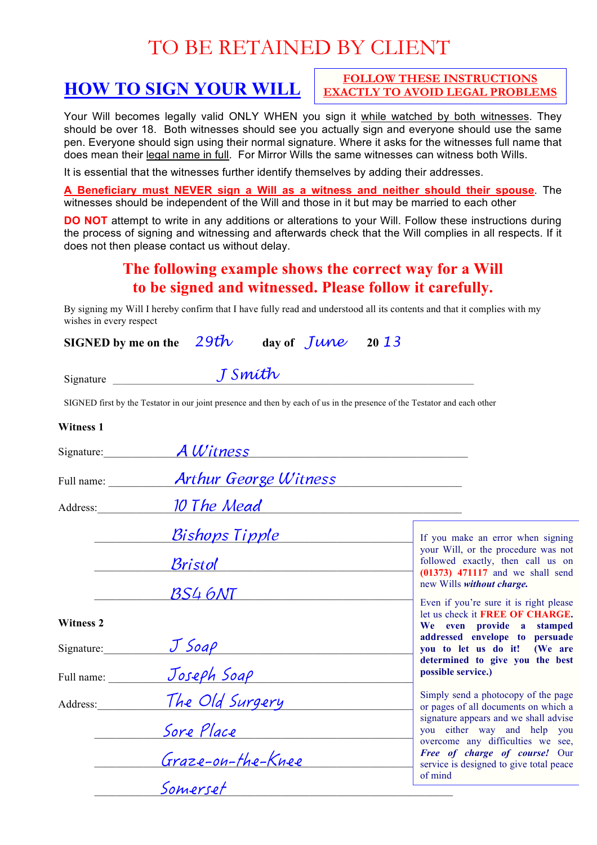## TO BE RETAINED BY CLIENT

## **HOW TO SIGN YOUR WILL**

**FOLLOW THESE INSTRUCTIONS EXACTLY TO AVOID LEGAL PROBLEMS**

Your Will becomes legally valid ONLY WHEN you sign it while watched by both witnesses. They should be over 18. Both witnesses should see you actually sign and everyone should use the same pen. Everyone should sign using their normal signature. Where it asks for the witnesses full name that does mean their legal name in full. For Mirror Wills the same witnesses can witness both Wills.

It is essential that the witnesses further identify themselves by adding their addresses.

**A Beneficiary must NEVER sign a Will as a witness and neither should their spouse**. The witnesses should be independent of the Will and those in it but may be married to each other

**DO NOT** attempt to write in any additions or alterations to your Will. Follow these instructions during the process of signing and witnessing and afterwards check that the Will complies in all respects. If it does not then please contact us without delay.

## **The following example shows the correct way for a Will to be signed and witnessed. Please follow it carefully.**

By signing my Will I hereby confirm that I have fully read and understood all its contents and that it complies with my wishes in every respect

**SIGNED by me on the** *29th* **day of** *June* **<sup>20</sup>***<sup>13</sup>*

| Signature |  |
|-----------|--|

 $S_{\text{ignature}}$   $\frac{J \text{ Smith}}{}$ 

SIGNED first by the Testator in our joint presence and then by each of us in the presence of the Testator and each other

#### **Witness 1**

| Signature:       | A Witness                            |                                                                                                                |  |
|------------------|--------------------------------------|----------------------------------------------------------------------------------------------------------------|--|
| Full name:       | <b>Arthur George Witness</b>         |                                                                                                                |  |
| Address:         | 10 The Mead                          |                                                                                                                |  |
|                  | <u>Bishops Tipple</u>                | If you make an error when signing                                                                              |  |
|                  | Bristol Britannico                   | your Will, or the procedure was not<br>followed exactly, then call us on<br>$(01373)$ 471117 and we shall send |  |
|                  | $BS4$ $6NT$                          | new Wills without charge.                                                                                      |  |
| <b>Witness 2</b> |                                      | Even if you're sure it is right please<br>let us check it FREE OF CHARGE.<br>We even provide a stamped         |  |
| Signature:       |                                      | addressed envelope to persuade<br>you to let us do it! (We are                                                 |  |
| Full name:       | <u> J Soap — </u><br>Joseph Soap — — | determined to give you the best<br>possible service.)                                                          |  |
| Address:         | The Old Surgery                      | Simply send a photocopy of the page<br>or pages of all documents on which a                                    |  |
|                  | Sore Place                           | signature appears and we shall advise<br>you either way and help you                                           |  |
|                  | Graze-on-the-Knee                    | overcome any difficulties we see,<br>Free of charge of course! Our<br>service is designed to give total peace  |  |
|                  | Somerset                             | of mind                                                                                                        |  |